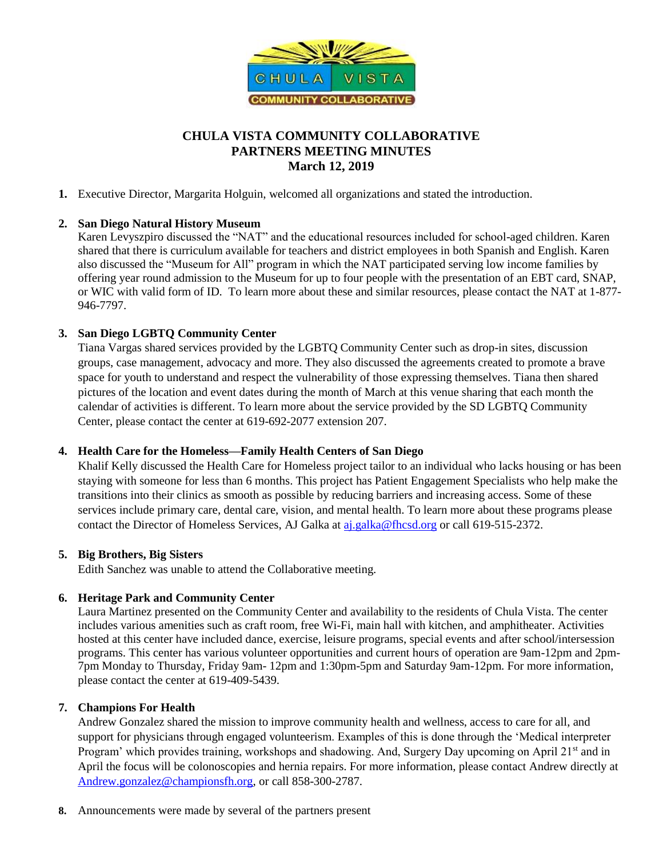

# **CHULA VISTA COMMUNITY COLLABORATIVE PARTNERS MEETING MINUTES March 12, 2019**

**1.** Executive Director, Margarita Holguin, welcomed all organizations and stated the introduction.

### **2. San Diego Natural History Museum**

Karen Levyszpiro discussed the "NAT" and the educational resources included for school-aged children. Karen shared that there is curriculum available for teachers and district employees in both Spanish and English. Karen also discussed the "Museum for All" program in which the NAT participated serving low income families by offering year round admission to the Museum for up to four people with the presentation of an EBT card, SNAP, or WIC with valid form of ID. To learn more about these and similar resources, please contact the NAT at 1-877- 946-7797.

### **3. San Diego LGBTQ Community Center**

Tiana Vargas shared services provided by the LGBTQ Community Center such as drop-in sites, discussion groups, case management, advocacy and more. They also discussed the agreements created to promote a brave space for youth to understand and respect the vulnerability of those expressing themselves. Tiana then shared pictures of the location and event dates during the month of March at this venue sharing that each month the calendar of activities is different. To learn more about the service provided by the SD LGBTQ Community Center, please contact the center at 619-692-2077 extension 207.

### **4. Health Care for the Homeless—Family Health Centers of San Diego**

Khalif Kelly discussed the Health Care for Homeless project tailor to an individual who lacks housing or has been staying with someone for less than 6 months. This project has Patient Engagement Specialists who help make the transitions into their clinics as smooth as possible by reducing barriers and increasing access. Some of these services include primary care, dental care, vision, and mental health. To learn more about these programs please contact the Director of Homeless Services, AJ Galka at [aj.galka@fhcsd.org](mailto:aj.galka@fhcsd.org) or call 619-515-2372.

### **5. Big Brothers, Big Sisters**

Edith Sanchez was unable to attend the Collaborative meeting.

### **6. Heritage Park and Community Center**

Laura Martinez presented on the Community Center and availability to the residents of Chula Vista. The center includes various amenities such as craft room, free Wi-Fi, main hall with kitchen, and amphitheater. Activities hosted at this center have included dance, exercise, leisure programs, special events and after school/intersession programs. This center has various volunteer opportunities and current hours of operation are 9am-12pm and 2pm-7pm Monday to Thursday, Friday 9am- 12pm and 1:30pm-5pm and Saturday 9am-12pm. For more information, please contact the center at 619-409-5439.

### **7. Champions For Health**

Andrew Gonzalez shared the mission to improve community health and wellness, access to care for all, and support for physicians through engaged volunteerism. Examples of this is done through the 'Medical interpreter Program' which provides training, workshops and shadowing. And, Surgery Day upcoming on April 21<sup>st</sup> and in April the focus will be colonoscopies and hernia repairs. For more information, please contact Andrew directly at [Andrew.gonzalez@championsfh.org,](mailto:Andrew.gonzalez@championsfh.org) or call 858-300-2787.

**8.** Announcements were made by several of the partners present